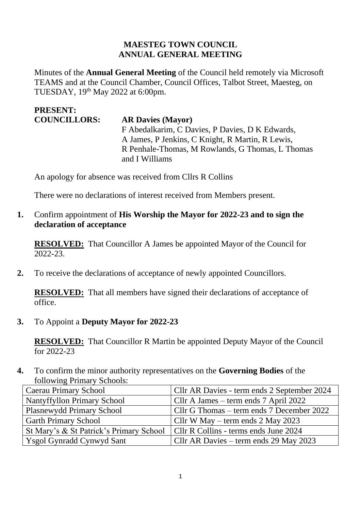#### **MAESTEG TOWN COUNCIL ANNUAL GENERAL MEETING**

Minutes of the **Annual General Meeting** of the Council held remotely via Microsoft TEAMS and at the Council Chamber, Council Offices, Talbot Street, Maesteg, on TUESDAY, 19th May 2022 at 6:00pm.

#### **PRESENT: COUNCILLORS: AR Davies (Mayor)**  F Abedalkarim, C Davies, P Davies, D K Edwards, A James, P Jenkins, C Knight, R Martin, R Lewis, R Penhale-Thomas, M Rowlands, G Thomas, L Thomas and I Williams

An apology for absence was received from Cllrs R Collins

There were no declarations of interest received from Members present.

**1.** Confirm appointment of **His Worship the Mayor for 2022-23 and to sign the declaration of acceptance**

**RESOLVED:** That Councillor A James be appointed Mayor of the Council for 2022-23.

**2.** To receive the declarations of acceptance of newly appointed Councillors.

**RESOLVED:** That all members have signed their declarations of acceptance of office.

**3.** To Appoint a **Deputy Mayor for 2022-23**

**RESOLVED:** That Councillor R Martin be appointed Deputy Mayor of the Council for 2022-23

**4.** To confirm the minor authority representatives on the **Governing Bodies** of the following Primary Schools:

| <b>Caerau Primary School</b>                                                    | Cllr AR Davies - term ends 2 September 2024 |
|---------------------------------------------------------------------------------|---------------------------------------------|
| <b>Nantyffyllon Primary School</b>                                              | Cllr A James – term ends 7 April 2022       |
| <b>Plasnewydd Primary School</b>                                                | Cllr G Thomas – term ends 7 December 2022   |
| <b>Garth Primary School</b>                                                     | Cllr W May – term ends $2$ May 2023         |
| St Mary's & St Patrick's Primary School   Cllr R Collins - terms ends June 2024 |                                             |
| <b>Ysgol Gynradd Cynwyd Sant</b>                                                | Cllr AR Davies – term ends 29 May 2023      |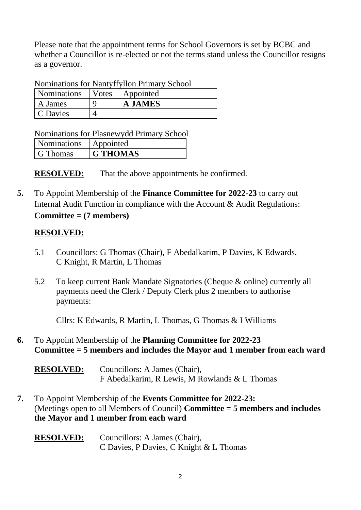Please note that the appointment terms for School Governors is set by BCBC and whether a Councillor is re-elected or not the terms stand unless the Councillor resigns as a governor.

Nominations for Nantyffyllon Primary School

| <b>Nominations</b> | Votes | Appointed      |
|--------------------|-------|----------------|
| A James            |       | <b>A JAMES</b> |
| C Davies           |       |                |

Nominations for Plasnewydd Primary School

| Nominations | Appointed       |
|-------------|-----------------|
| G Thomas    | <b>G THOMAS</b> |

**RESOLVED:** That the above appointments be confirmed.

**5.** To Appoint Membership of the **Finance Committee for 2022-23** to carry out Internal Audit Function in compliance with the Account & Audit Regulations: **Committee = (7 members)**

## **RESOLVED:**

- 5.1 Councillors: G Thomas (Chair), F Abedalkarim, P Davies, K Edwards, C Knight, R Martin, L Thomas
- 5.2 To keep current Bank Mandate Signatories (Cheque & online) currently all payments need the Clerk / Deputy Clerk plus 2 members to authorise payments:

Cllrs: K Edwards, R Martin, L Thomas, G Thomas & I Williams

**6.** To Appoint Membership of the **Planning Committee for 2022-23 Committee = 5 members and includes the Mayor and 1 member from each ward** 

| <b>RESOLVED:</b> | Councillors: A James (Chair),                 |  |
|------------------|-----------------------------------------------|--|
|                  | F Abedalkarim, R Lewis, M Rowlands & L Thomas |  |

**7.** To Appoint Membership of the **Events Committee for 2022-23:**  (Meetings open to all Members of Council) **Committee = 5 members and includes the Mayor and 1 member from each ward** 

| <b>RESOLVED:</b> | Councillors: A James (Chair),           |
|------------------|-----------------------------------------|
|                  | C Davies, P Davies, C Knight & L Thomas |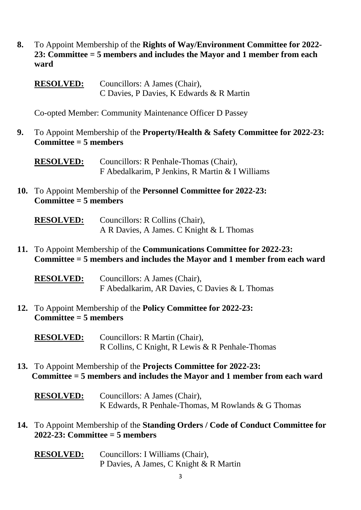- **8.** To Appoint Membership of the **Rights of Way/Environment Committee for 2022- 23: Committee = 5 members and includes the Mayor and 1 member from each ward** 
	- **RESOLVED:** Councillors: A James (Chair), C Davies, P Davies, K Edwards & R Martin

Co-opted Member: Community Maintenance Officer D Passey

**9.** To Appoint Membership of the **Property/Health & Safety Committee for 2022-23: Committee = 5 members**

**RESOLVED:** Councillors: R Penhale-Thomas (Chair), F Abedalkarim, P Jenkins, R Martin & I Williams

**10.** To Appoint Membership of the **Personnel Committee for 2022-23: Committee = 5 members** 

| <b>RESOLVED:</b> | Councillors: R Collins (Chair),          |
|------------------|------------------------------------------|
|                  | A R Davies, A James. C Knight & L Thomas |

**11.** To Appoint Membership of the **Communications Committee for 2022-23: Committee = 5 members and includes the Mayor and 1 member from each ward** 

| <b>RESOLVED:</b> | Councillors: A James (Chair),                 |  |
|------------------|-----------------------------------------------|--|
|                  | F Abedalkarim, AR Davies, C Davies & L Thomas |  |

**12.** To Appoint Membership of the **Policy Committee for 2022-23: Committee = 5 members**

**RESOLVED:** Councillors: R Martin (Chair), R Collins, C Knight, R Lewis & R Penhale-Thomas

- **13.** To Appoint Membership of the **Projects Committee for 2022-23: Committee = 5 members and includes the Mayor and 1 member from each ward**
	- **RESOLVED:** Councillors: A James (Chair), K Edwards, R Penhale-Thomas, M Rowlands & G Thomas
- **14.** To Appoint Membership of the **Standing Orders / Code of Conduct Committee for 2022-23: Committee = 5 members** 
	- **RESOLVED:** Councillors: I Williams (Chair), P Davies, A James, C Knight & R Martin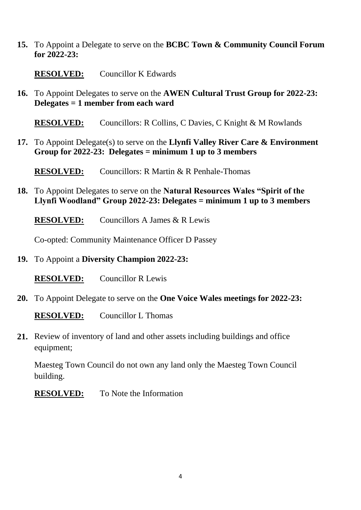**15.** To Appoint a Delegate to serve on the **BCBC Town & Community Council Forum for 2022-23:** 

**RESOLVED:** Councillor K Edwards

**16.** To Appoint Delegates to serve on the **AWEN Cultural Trust Group for 2022-23: Delegates = 1 member from each ward** 

**RESOLVED:** Councillors: R Collins, C Davies, C Knight & M Rowlands

**17.** To Appoint Delegate(s) to serve on the **Llynfi Valley River Care & Environment Group for 2022-23: Delegates = minimum 1 up to 3 members** 

**RESOLVED:** Councillors: R Martin & R Penhale-Thomas

**18.** To Appoint Delegates to serve on the **Natural Resources Wales "Spirit of the Llynfi Woodland" Group 2022-23: Delegates = minimum 1 up to 3 members** 

**RESOLVED:** Councillors A James & R Lewis

Co-opted: Community Maintenance Officer D Passey

**19.** To Appoint a **Diversity Champion 2022-23:**

**RESOLVED:** Councillor R Lewis

**20.** To Appoint Delegate to serve on the **One Voice Wales meetings for 2022-23:**

**RESOLVED:** Councillor L Thomas

**21.** Review of inventory of land and other assets including buildings and office equipment;

Maesteg Town Council do not own any land only the Maesteg Town Council building.

**RESOLVED:** To Note the Information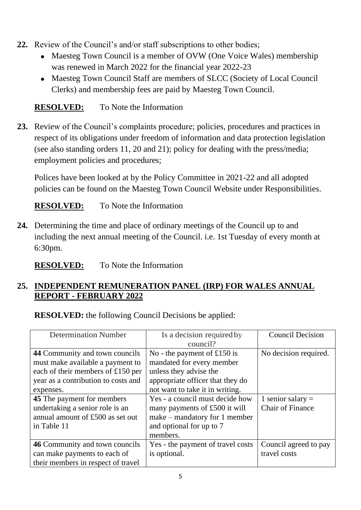- **22.** Review of the Council's and/or staff subscriptions to other bodies;
	- Maesteg Town Council is a member of OVW (One Voice Wales) membership was renewed in March 2022 for the financial year 2022-23
	- Maesteg Town Council Staff are members of SLCC (Society of Local Council Clerks) and membership fees are paid by Maesteg Town Council.

# **RESOLVED:** To Note the Information

**23.** Review of the Council's complaints procedure; policies, procedures and practices in respect of its obligations under freedom of information and data protection legislation (see also standing orders 11, 20 and 21); policy for dealing with the press/media; employment policies and procedures;

Polices have been looked at by the Policy Committee in 2021-22 and all adopted policies can be found on the Maesteg Town Council Website under Responsibilities.

**RESOLVED:** To Note the Information

**24.** Determining the time and place of ordinary meetings of the Council up to and including the next annual meeting of the Council. i.e. 1st Tuesday of every month at 6:30pm.

**RESOLVED:** To Note the Information

## **25. INDEPENDENT REMUNERATION PANEL (IRP) FOR WALES ANNUAL REPORT - FEBRUARY 2022**

**RESOLVED:** the following Council Decisions be applied:

| <b>Determination Number</b>         | Is a decision required by         | <b>Council Decision</b> |
|-------------------------------------|-----------------------------------|-------------------------|
|                                     | council?                          |                         |
| 44 Community and town councils      | No - the payment of £150 is       | No decision required.   |
| must make available a payment to    | mandated for every member         |                         |
| each of their members of £150 per   | unless they advise the            |                         |
| year as a contribution to costs and | appropriate officer that they do  |                         |
| expenses.                           | not want to take it in writing.   |                         |
| 45 The payment for members          | Yes - a council must decide how   | 1 senior salary $=$     |
| undertaking a senior role is an     | many payments of £500 it will     | <b>Chair of Finance</b> |
| annual amount of £500 as set out    | $make - mandatory for 1 member$   |                         |
| in Table 11                         | and optional for up to 7          |                         |
|                                     | members.                          |                         |
| 46 Community and town councils      | Yes - the payment of travel costs | Council agreed to pay   |
| can make payments to each of        | is optional.                      | travel costs            |
| their members in respect of travel  |                                   |                         |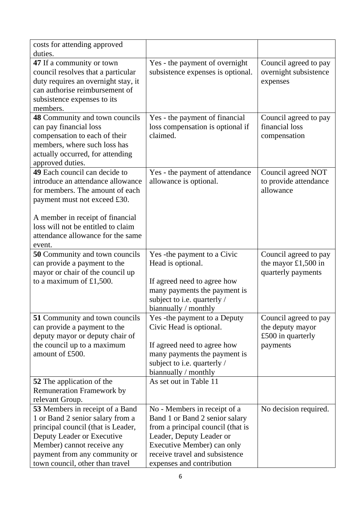| costs for attending approved          |                                   |                       |
|---------------------------------------|-----------------------------------|-----------------------|
| duties.                               |                                   |                       |
| 47 If a community or town             | Yes - the payment of overnight    | Council agreed to pay |
| council resolves that a particular    | subsistence expenses is optional. | overnight subsistence |
| duty requires an overnight stay, it   |                                   | expenses              |
| can authorise reimbursement of        |                                   |                       |
| subsistence expenses to its           |                                   |                       |
| members.                              |                                   |                       |
| 48 Community and town councils        | Yes - the payment of financial    | Council agreed to pay |
| can pay financial loss                | loss compensation is optional if  | financial loss        |
| compensation to each of their         | claimed.                          | compensation          |
| members, where such loss has          |                                   |                       |
| actually occurred, for attending      |                                   |                       |
| approved duties.                      |                                   |                       |
| 49 Each council can decide to         | Yes - the payment of attendance   | Council agreed NOT    |
| introduce an attendance allowance     | allowance is optional.            | to provide attendance |
| for members. The amount of each       |                                   | allowance             |
| payment must not exceed £30.          |                                   |                       |
|                                       |                                   |                       |
| A member in receipt of financial      |                                   |                       |
| loss will not be entitled to claim    |                                   |                       |
| attendance allowance for the same     |                                   |                       |
| event.                                |                                   |                       |
| <b>50</b> Community and town councils | Yes - the payment to a Civic      | Council agreed to pay |
| can provide a payment to the          | Head is optional.                 | the mayor $£1,500$ in |
| mayor or chair of the council up      |                                   | quarterly payments    |
| to a maximum of $£1,500$ .            | If agreed need to agree how       |                       |
|                                       | many payments the payment is      |                       |
|                                       | subject to i.e. quarterly /       |                       |
|                                       | biannually / monthly              |                       |
| 51 Community and town councils        | Yes - the payment to a Deputy     | Council agreed to pay |
| can provide a payment to the          | Civic Head is optional.           | the deputy mayor      |
| deputy mayor or deputy chair of       |                                   | £500 in quarterly     |
| the council up to a maximum           | If agreed need to agree how       | payments              |
| amount of £500.                       | many payments the payment is      |                       |
|                                       | subject to i.e. quarterly /       |                       |
|                                       | biannually / monthly              |                       |
| <b>52</b> The application of the      | As set out in Table 11            |                       |
| <b>Remuneration Framework by</b>      |                                   |                       |
| relevant Group.                       |                                   |                       |
| 53 Members in receipt of a Band       | No - Members in receipt of a      | No decision required. |
| 1 or Band 2 senior salary from a      | Band 1 or Band 2 senior salary    |                       |
| principal council (that is Leader,    | from a principal council (that is |                       |
| Deputy Leader or Executive            | Leader, Deputy Leader or          |                       |
| Member) cannot receive any            | Executive Member) can only        |                       |
| payment from any community or         | receive travel and subsistence    |                       |
| town council, other than travel       | expenses and contribution         |                       |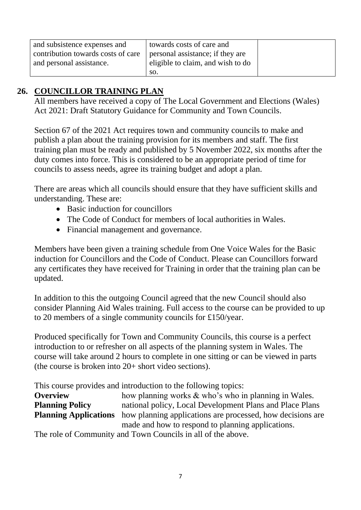| and subsistence expenses and       | towards costs of care and         |  |
|------------------------------------|-----------------------------------|--|
| contribution towards costs of care | personal assistance; if they are  |  |
| and personal assistance.           | eligible to claim, and wish to do |  |
|                                    | SO.                               |  |

# **26. COUNCILLOR TRAINING PLAN**

All members have received a copy of The Local Government and Elections (Wales) Act 2021: Draft Statutory Guidance for Community and Town Councils.

Section 67 of the 2021 Act requires town and community councils to make and publish a plan about the training provision for its members and staff. The first training plan must be ready and published by 5 November 2022, six months after the duty comes into force. This is considered to be an appropriate period of time for councils to assess needs, agree its training budget and adopt a plan.

There are areas which all councils should ensure that they have sufficient skills and understanding. These are:

- Basic induction for councillors
- The Code of Conduct for members of local authorities in Wales.
- Financial management and governance.

Members have been given a training schedule from One Voice Wales for the Basic induction for Councillors and the Code of Conduct. Please can Councillors forward any certificates they have received for Training in order that the training plan can be updated.

In addition to this the outgoing Council agreed that the new Council should also consider Planning Aid Wales training. Full access to the course can be provided to up to 20 members of a single community councils for £150/year.

Produced specifically for Town and Community Councils, this course is a perfect introduction to or refresher on all aspects of the planning system in Wales. The course will take around 2 hours to complete in one sitting or can be viewed in parts (the course is broken into 20+ short video sections).

This course provides and introduction to the following topics:

| <b>Overview</b>        | how planning works & who's who in planning in Wales.                                    |
|------------------------|-----------------------------------------------------------------------------------------|
| <b>Planning Policy</b> | national policy, Local Development Plans and Place Plans                                |
|                        | <b>Planning Applications</b> how planning applications are processed, how decisions are |
|                        | made and how to respond to planning applications.                                       |

The role of Community and Town Councils in all of the above.